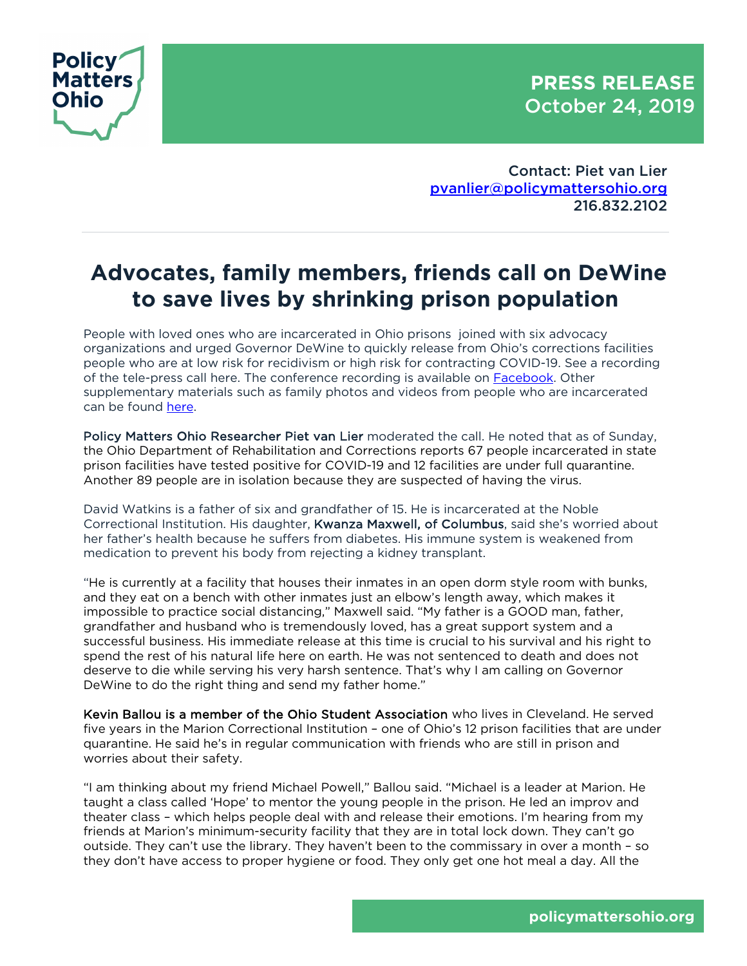**PRESS RELEASE** October 24, 2019



Contact: Piet van Lier pvanlier@policymattersohio.org 216.832.2102

## **Advocates, family members, friends call on DeWine to save lives by shrinking prison population**

People with loved ones who are incarcerated in Ohio prisons joined with six advocacy organizations and urged Governor DeWine to quickly release from Ohio's corrections facilities people who are at low risk for recidivism or high risk for contracting COVID-19. See a recording of the tele-press call here. The conference recording is available on Facebook. Other supplementary materials such as family photos and videos from people who are incarcerated can be found here.

Policy Matters Ohio Researcher Piet van Lier moderated the call. He noted that as of Sunday, the Ohio Department of Rehabilitation and Corrections reports 67 people incarcerated in state prison facilities have tested positive for COVID-19 and 12 facilities are under full quarantine. Another 89 people are in isolation because they are suspected of having the virus.

David Watkins is a father of six and grandfather of 15. He is incarcerated at the Noble Correctional Institution. His daughter, Kwanza Maxwell, of Columbus, said she's worried about her father's health because he suffers from diabetes. His immune system is weakened from medication to prevent his body from rejecting a kidney transplant.

"He is currently at a facility that houses their inmates in an open dorm style room with bunks, and they eat on a bench with other inmates just an elbow's length away, which makes it impossible to practice social distancing," Maxwell said. "My father is a GOOD man, father, grandfather and husband who is tremendously loved, has a great support system and a successful business. His immediate release at this time is crucial to his survival and his right to spend the rest of his natural life here on earth. He was not sentenced to death and does not deserve to die while serving his very harsh sentence. That's why I am calling on Governor DeWine to do the right thing and send my father home."

Kevin Ballou is a member of the Ohio Student Association who lives in Cleveland. He served five years in the Marion Correctional Institution – one of Ohio's 12 prison facilities that are under quarantine. He said he's in regular communication with friends who are still in prison and worries about their safety.

"I am thinking about my friend Michael Powell," Ballou said. "Michael is a leader at Marion. He taught a class called 'Hope' to mentor the young people in the prison. He led an improv and theater class – which helps people deal with and release their emotions. I'm hearing from my friends at Marion's minimum-security facility that they are in total lock down. They can't go outside. They can't use the library. They haven't been to the commissary in over a month – so they don't have access to proper hygiene or food. They only get one hot meal a day. All the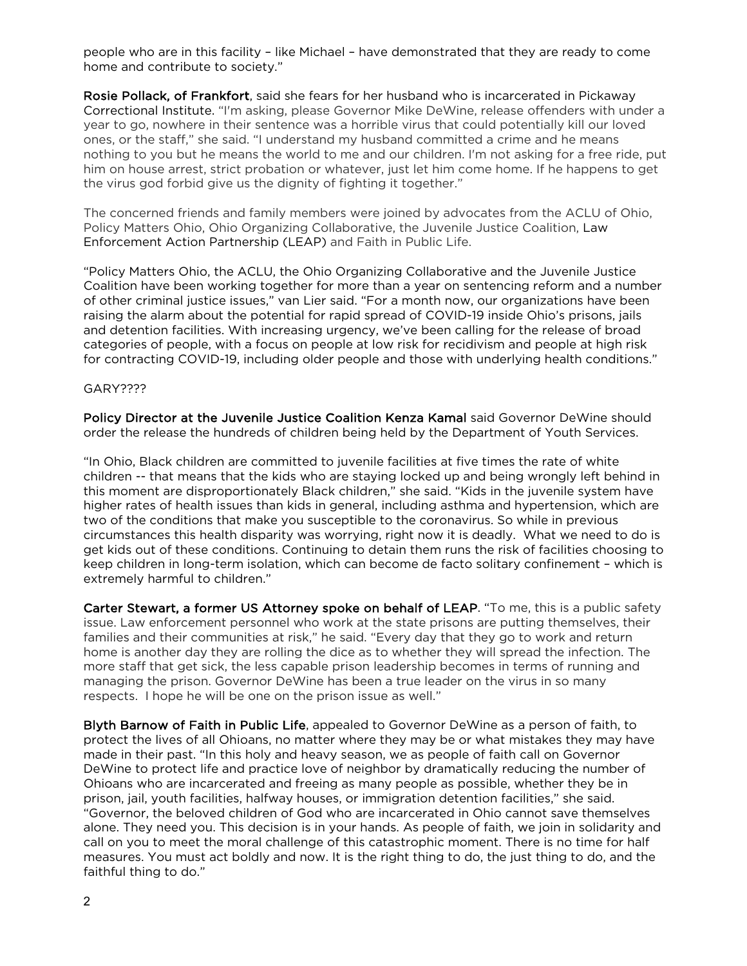people who are in this facility – like Michael – have demonstrated that they are ready to come home and contribute to society."

Rosie Pollack, of Frankfort, said she fears for her husband who is incarcerated in Pickaway Correctional Institute. "I'm asking, please Governor Mike DeWine, release offenders with under a year to go, nowhere in their sentence was a horrible virus that could potentially kill our loved ones, or the staff," she said. "I understand my husband committed a crime and he means nothing to you but he means the world to me and our children. I'm not asking for a free ride, put him on house arrest, strict probation or whatever, just let him come home. If he happens to get the virus god forbid give us the dignity of fighting it together."

The concerned friends and family members were joined by advocates from the ACLU of Ohio, Policy Matters Ohio, Ohio Organizing Collaborative, the Juvenile Justice Coalition, Law Enforcement Action Partnership (LEAP) and Faith in Public Life.

"Policy Matters Ohio, the ACLU, the Ohio Organizing Collaborative and the Juvenile Justice Coalition have been working together for more than a year on sentencing reform and a number of other criminal justice issues," van Lier said. "For a month now, our organizations have been raising the alarm about the potential for rapid spread of COVID-19 inside Ohio's prisons, jails and detention facilities. With increasing urgency, we've been calling for the release of broad categories of people, with a focus on people at low risk for recidivism and people at high risk for contracting COVID-19, including older people and those with underlying health conditions."

## GARY????

Policy Director at the Juvenile Justice Coalition Kenza Kamal said Governor DeWine should order the release the hundreds of children being held by the Department of Youth Services.

"In Ohio, Black children are committed to juvenile facilities at five times the rate of white children -- that means that the kids who are staying locked up and being wrongly left behind in this moment are disproportionately Black children," she said. "Kids in the juvenile system have higher rates of health issues than kids in general, including asthma and hypertension, which are two of the conditions that make you susceptible to the coronavirus. So while in previous circumstances this health disparity was worrying, right now it is deadly. What we need to do is get kids out of these conditions. Continuing to detain them runs the risk of facilities choosing to keep children in long-term isolation, which can become de facto solitary confinement – which is extremely harmful to children."

Carter Stewart, a former US Attorney spoke on behalf of LEAP. "To me, this is a public safety issue. Law enforcement personnel who work at the state prisons are putting themselves, their families and their communities at risk," he said. "Every day that they go to work and return home is another day they are rolling the dice as to whether they will spread the infection. The more staff that get sick, the less capable prison leadership becomes in terms of running and managing the prison. Governor DeWine has been a true leader on the virus in so many respects. I hope he will be one on the prison issue as well."

Blyth Barnow of Faith in Public Life, appealed to Governor DeWine as a person of faith, to protect the lives of all Ohioans, no matter where they may be or what mistakes they may have made in their past. "In this holy and heavy season, we as people of faith call on Governor DeWine to protect life and practice love of neighbor by dramatically reducing the number of Ohioans who are incarcerated and freeing as many people as possible, whether they be in prison, jail, youth facilities, halfway houses, or immigration detention facilities," she said. "Governor, the beloved children of God who are incarcerated in Ohio cannot save themselves alone. They need you. This decision is in your hands. As people of faith, we join in solidarity and call on you to meet the moral challenge of this catastrophic moment. There is no time for half measures. You must act boldly and now. It is the right thing to do, the just thing to do, and the faithful thing to do."